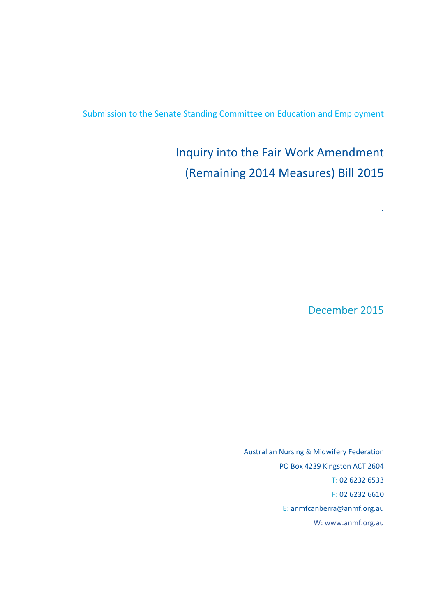Submission to the Senate Standing Committee on Education and Employment

# Inquiry into the Fair Work Amendment (Remaining 2014 Measures) Bill 2015

December 2015

 $\boldsymbol{\hat{\lambda}}$ 

Australian Nursing & Midwifery Federation PO Box 4239 Kingston ACT 2604 T: 02 6232 6533 F: 02 6232 6610 E: anmfcanberra@anmf.org.au W: www.anmf.org.au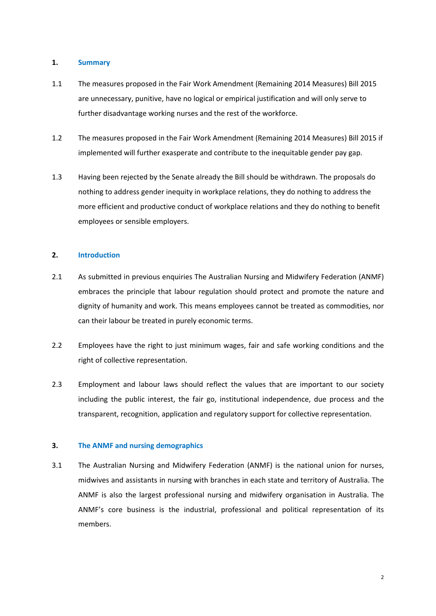## **1. Summary**

- 1.1 The measures proposed in the Fair Work Amendment (Remaining 2014 Measures) Bill 2015 are unnecessary, punitive, have no logical or empirical justification and will only serve to further disadvantage working nurses and the rest of the workforce.
- 1.2 The measures proposed in the Fair Work Amendment (Remaining 2014 Measures) Bill 2015 if implemented will further exasperate and contribute to the inequitable gender pay gap.
- 1.3 Having been rejected by the Senate already the Bill should be withdrawn. The proposals do nothing to address gender inequity in workplace relations, they do nothing to address the more efficient and productive conduct of workplace relations and they do nothing to benefit employees or sensible employers.

## **2. Introduction**

- 2.1 As submitted in previous enquiries The Australian Nursing and Midwifery Federation (ANMF) embraces the principle that labour regulation should protect and promote the nature and dignity of humanity and work. This means employees cannot be treated as commodities, nor can their labour be treated in purely economic terms.
- 2.2 Employees have the right to just minimum wages, fair and safe working conditions and the right of collective representation.
- 2.3 Employment and labour laws should reflect the values that are important to our society including the public interest, the fair go, institutional independence, due process and the transparent, recognition, application and regulatory support for collective representation.

## **3. The ANMF and nursing demographics**

3.1 The Australian Nursing and Midwifery Federation (ANMF) is the national union for nurses, midwives and assistants in nursing with branches in each state and territory of Australia. The ANMF is also the largest professional nursing and midwifery organisation in Australia. The ANMF's core business is the industrial, professional and political representation of its members.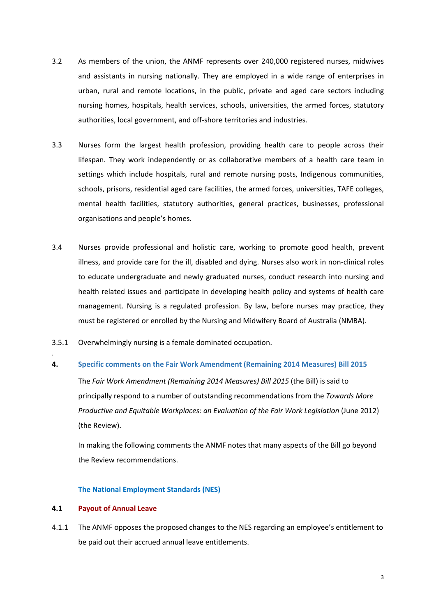- 3.2 As members of the union, the ANMF represents over 240,000 registered nurses, midwives and assistants in nursing nationally. They are employed in a wide range of enterprises in urban, rural and remote locations, in the public, private and aged care sectors including nursing homes, hospitals, health services, schools, universities, the armed forces, statutory authorities, local government, and off‐shore territories and industries.
- 3.3 Nurses form the largest health profession, providing health care to people across their lifespan. They work independently or as collaborative members of a health care team in settings which include hospitals, rural and remote nursing posts, Indigenous communities, schools, prisons, residential aged care facilities, the armed forces, universities, TAFE colleges, mental health facilities, statutory authorities, general practices, businesses, professional organisations and people's homes.
- 3.4 Nurses provide professional and holistic care, working to promote good health, prevent illness, and provide care for the ill, disabled and dying. Nurses also work in non‐clinical roles to educate undergraduate and newly graduated nurses, conduct research into nursing and health related issues and participate in developing health policy and systems of health care management. Nursing is a regulated profession. By law, before nurses may practice, they must be registered or enrolled by the Nursing and Midwifery Board of Australia (NMBA).
- 3.5.1 Overwhelmingly nursing is a female dominated occupation.

### **4. Specific comments on the Fair Work Amendment (Remaining 2014 Measures) Bill 2015**

The *Fair Work Amendment (Remaining 2014 Measures) Bill 2015* (the Bill) is said to principally respond to a number of outstanding recommendations from the *Towards More Productive and Equitable Workplaces: an Evaluation of the Fair Work Legislation* (June 2012) (the Review).

In making the following comments the ANMF notes that many aspects of the Bill go beyond the Review recommendations.

#### **The National Employment Standards (NES)**

#### **4.1 Payout of Annual Leave**

4.1.1 The ANMF opposes the proposed changes to the NES regarding an employee's entitlement to be paid out their accrued annual leave entitlements.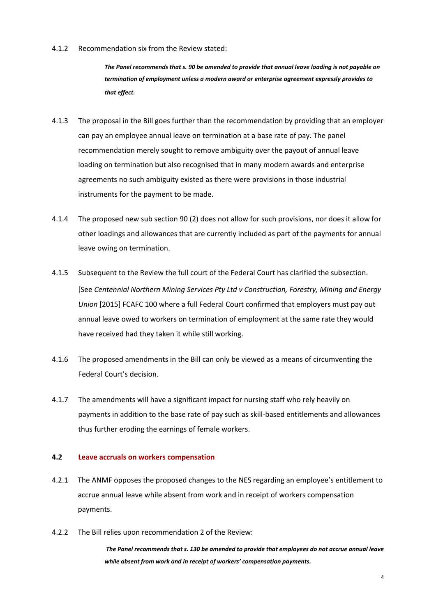#### 4.1.2 Recommendation six from the Review stated:

*The Panel recommends that s. 90 be amended to provide that annual leave loading is not payable on termination of employment unless a modern award or enterprise agreement expressly provides to that effect.*

- 4.1.3 The proposal in the Bill goes further than the recommendation by providing that an employer can pay an employee annual leave on termination at a base rate of pay. The panel recommendation merely sought to remove ambiguity over the payout of annual leave loading on termination but also recognised that in many modern awards and enterprise agreements no such ambiguity existed as there were provisions in those industrial instruments for the payment to be made.
- 4.1.4 The proposed new sub section 90 (2) does not allow for such provisions, nor does it allow for other loadings and allowances that are currently included as part of the payments for annual leave owing on termination.
- 4.1.5 Subsequent to the Review the full court of the Federal Court has clarified the subsection. [See *Centennial Northern Mining Services Pty Ltd v Construction, Forestry, Mining and Energy Union* [2015] FCAFC 100 where a full Federal Court confirmed that employers must pay out annual leave owed to workers on termination of employment at the same rate they would have received had they taken it while still working.
- 4.1.6 The proposed amendments in the Bill can only be viewed as a means of circumventing the Federal Court's decision.
- 4.1.7 The amendments will have a significant impact for nursing staff who rely heavily on payments in addition to the base rate of pay such as skill‐based entitlements and allowances thus further eroding the earnings of female workers.

## **4.2 Leave accruals on workers compensation**

- 4.2.1 The ANMF opposes the proposed changes to the NES regarding an employee's entitlement to accrue annual leave while absent from work and in receipt of workers compensation payments.
- 4.2.2 The Bill relies upon recommendation 2 of the Review:

*The Panel recommends that s. 130 be amended to provide that employees do not accrue annual leave while absent from work and in receipt of workers' compensation payments.*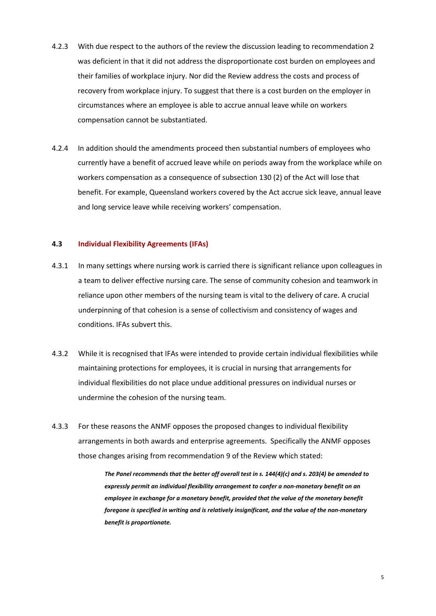- 4.2.3 With due respect to the authors of the review the discussion leading to recommendation 2 was deficient in that it did not address the disproportionate cost burden on employees and their families of workplace injury. Nor did the Review address the costs and process of recovery from workplace injury. To suggest that there is a cost burden on the employer in circumstances where an employee is able to accrue annual leave while on workers compensation cannot be substantiated.
- 4.2.4 In addition should the amendments proceed then substantial numbers of employees who currently have a benefit of accrued leave while on periods away from the workplace while on workers compensation as a consequence of subsection 130 (2) of the Act will lose that benefit. For example, Queensland workers covered by the Act accrue sick leave, annual leave and long service leave while receiving workers' compensation.

#### **4.3 Individual Flexibility Agreements (IFAs)**

- 4.3.1 In many settings where nursing work is carried there is significant reliance upon colleagues in a team to deliver effective nursing care. The sense of community cohesion and teamwork in reliance upon other members of the nursing team is vital to the delivery of care. A crucial underpinning of that cohesion is a sense of collectivism and consistency of wages and conditions. IFAs subvert this.
- 4.3.2 While it is recognised that IFAs were intended to provide certain individual flexibilities while maintaining protections for employees, it is crucial in nursing that arrangements for individual flexibilities do not place undue additional pressures on individual nurses or undermine the cohesion of the nursing team.
- 4.3.3 For these reasons the ANMF opposes the proposed changes to individual flexibility arrangements in both awards and enterprise agreements. Specifically the ANMF opposes those changes arising from recommendation 9 of the Review which stated:

*The Panel recommends that the better off overall test in s. 144(4)(c) and s. 203(4) be amended to expressly permit an individual flexibility arrangement to confer a non‐monetary benefit on an employee in exchange for a monetary benefit, provided that the value of the monetary benefit foregone is specified in writing and is relatively insignificant, and the value of the non‐monetary benefit is proportionate.*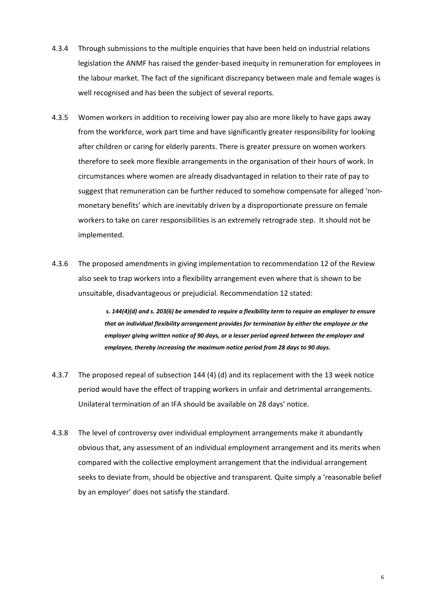- 4.3.4 Through submissions to the multiple enquiries that have been held on industrial relations legislation the ANMF has raised the gender‐based inequity in remuneration for employees in the labour market. The fact of the significant discrepancy between male and female wages is well recognised and has been the subject of several reports.
- 4.3.5 Women workers in addition to receiving lower pay also are more likely to have gaps away from the workforce, work part time and have significantly greater responsibility for looking after children or caring for elderly parents. There is greater pressure on women workers therefore to seek more flexible arrangements in the organisation of their hours of work. In circumstances where women are already disadvantaged in relation to their rate of pay to suggest that remuneration can be further reduced to somehow compensate for alleged 'non‐ monetary benefits' which are inevitably driven by a disproportionate pressure on female workers to take on carer responsibilities is an extremely retrograde step. It should not be implemented.
- 4.3.6 The proposed amendments in giving implementation to recommendation 12 of the Review also seek to trap workers into a flexibility arrangement even where that is shown to be unsuitable, disadvantageous or prejudicial. Recommendation 12 stated:

s. 144(4)(d) and s. 203(6) be amended to require a flexibility term to require an employer to ensure *that an individual flexibility arrangement provides for termination by either the employee or the employer giving written notice of 90 days, or a lesser period agreed between the employer and employee, thereby increasing the maximum notice period from 28 days to 90 days.*

- 4.3.7 The proposed repeal of subsection 144 (4) (d) and its replacement with the 13 week notice period would have the effect of trapping workers in unfair and detrimental arrangements. Unilateral termination of an IFA should be available on 28 days' notice.
- 4.3.8 The level of controversy over individual employment arrangements make it abundantly obvious that, any assessment of an individual employment arrangement and its merits when compared with the collective employment arrangement that the individual arrangement seeks to deviate from, should be objective and transparent. Quite simply a 'reasonable belief by an employer' does not satisfy the standard.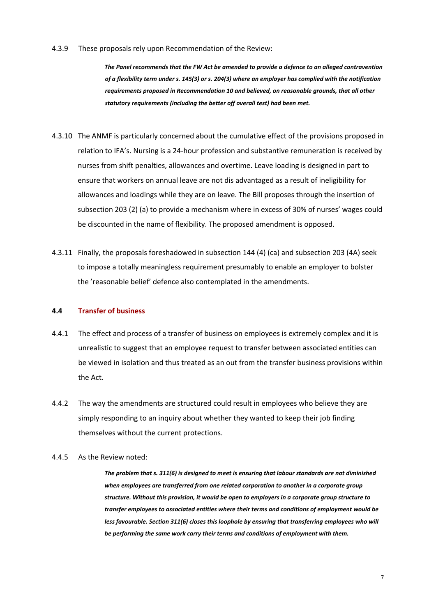#### 4.3.9 These proposals rely upon Recommendation of the Review:

*The Panel recommends that the FW Act be amended to provide a defence to an alleged contravention* of a flexibility term under s. 145(3) or s. 204(3) where an employer has complied with the notification *requirements proposed in Recommendation 10 and believed, on reasonable grounds, that all other statutory requirements (including the better off overall test) had been met.*

- 4.3.10 The ANMF is particularly concerned about the cumulative effect of the provisions proposed in relation to IFA's. Nursing is a 24‐hour profession and substantive remuneration is received by nurses from shift penalties, allowances and overtime. Leave loading is designed in part to ensure that workers on annual leave are not dis advantaged as a result of ineligibility for allowances and loadings while they are on leave. The Bill proposes through the insertion of subsection 203 (2) (a) to provide a mechanism where in excess of 30% of nurses' wages could be discounted in the name of flexibility. The proposed amendment is opposed.
- 4.3.11 Finally, the proposals foreshadowed in subsection 144 (4) (ca) and subsection 203 (4A) seek to impose a totally meaningless requirement presumably to enable an employer to bolster the 'reasonable belief' defence also contemplated in the amendments.

#### **4.4 Transfer of business**

- 4.4.1 The effect and process of a transfer of business on employees is extremely complex and it is unrealistic to suggest that an employee request to transfer between associated entities can be viewed in isolation and thus treated as an out from the transfer business provisions within the Act.
- 4.4.2 The way the amendments are structured could result in employees who believe they are simply responding to an inquiry about whether they wanted to keep their job finding themselves without the current protections.
- 4.4.5 As the Review noted:

*The problem that s. 311(6) is designed to meet is ensuring that labour standards are not diminished when employees are transferred from one related corporation to another in a corporate group structure. Without this provision, it would be open to employers in a corporate group structure to transfer employees to associated entities where their terms and conditions of employment would be less favourable. Section 311(6) closes this loophole by ensuring that transferring employees who will be performing the same work carry their terms and conditions of employment with them.*